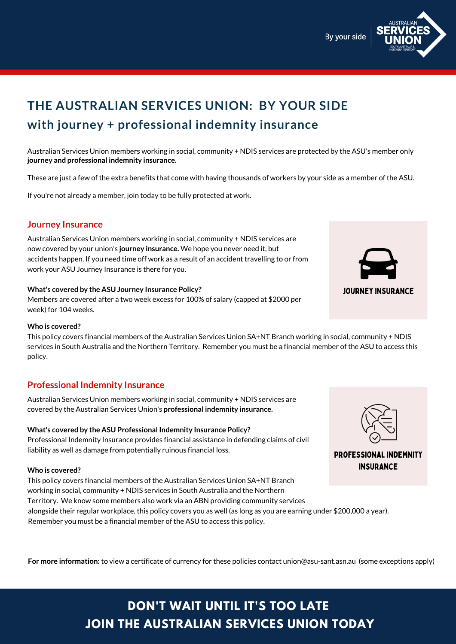

# **THE AUSTRALIAN SERVICES UNION: BY YOUR SIDE with journey + professional indemnity insurance**

Australian Services Union members working in social, community + NDIS services are protected by the ASU's member only **journey and professional indemnity insurance.**

These are just a few of the extra benefits that come with having thousands of workers by your side as a member of the ASU.

If you're not already a member, join today to be fully protected at work.

### **Journey Insurance**

Australian Services Union members working in social, community + NDIS services are now covered by your union's **journey insurance.** We hope you never need it, but accidents happen. If you need time off work as a result of an accident travelling to or from work your ASU Journey Insurance is there for you.

#### **What's covered by the ASU Journey Insurance Policy?**

Members are covered after a two week excess for 100% of salary (capped at \$2000 per week) for 104 weeks.

## **Professional Indemnity Insurance**

Australian Services Union members working in social, community + NDIS services are covered by the Australian Services Union's **professional indemnity insurance.**

#### **What's covered by the ASU Professional Indemnity Insurance Policy?**

Professional Indemnity Insurance provides financial assistance in defending claims of civil liability as well as damage from potentially ruinous financial loss.

#### **Who is covered?**

## **DON'T WAIT UNTIL IT'S TOO LATE JOIN THE AUSTRALIAN SERVICES UNION TODAY**

#### **Who is covered?**

This policy covers financial members of the Australian Services Union SA+NT Branch working in social, community + NDIS services in South Australia and the Northern Territory. We know some members also work via an ABN providing community services alongside their regular workplace, this policy covers you as well (as long as you are earning under \$200,000 a year). Remember you must be a financial member of the ASU to access this policy.



PROFESSIONAL INDEMNITY **INSURANCE** 

This policy covers financial members of the Australian Services Union SA+NT Branch working in social, community + NDIS



services in South Australia and the Northern Territory. Remember you must be a financial member of the ASU to access this policy.

**For more information:** to view a certificate of currency for these policies contact union@asu-sant.asn.au (some exceptions apply)